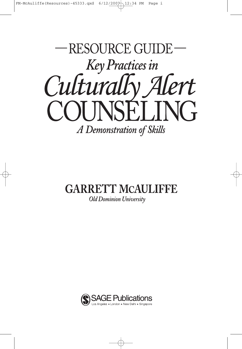

### **GARRETT MCAULIFFE**

**Old Dominion University** 

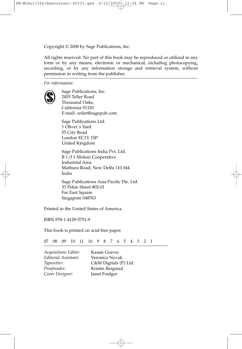Copyright © 2008 by Sage Publications, Inc.

All rights reserved. No part of this book may be reproduced or utilized in any form or by any means, electronic or mechanical, including photocopying, recording, or by any information storage and retrieval system, without permission in writing from the publisher.

*For information:*



Sage Publications, Inc. 2455 Teller Road Thousand Oaks, California 91320 E-mail: order@sagepub.com

Sage Publications Ltd. 1 Oliver's Yard 55 City Road London EC1Y 1SP United Kingdom

Sage Publications India Pvt. Ltd. B 1/I 1 Mohan Cooperative Industrial Area Mathura Road, New Delhi 110 044 India

Sage Publications Asia-Pacific Pte. Ltd. 33 Pekin Street #02-01 Far East Square Singapore 048763

Printed in the United States of America.

ISBN 978-1-4129-5751-9

This book is printed on acid-free paper.

07 08 09 10 11 10 9 8 7 6 5 4 3 2 1

*Acquisitions Editor:* Kassie Graves *Editorial Assistant:* Veronica Novak Proofreader: **Kristin Bergstad** *Cover Designer:* Janet Foulger

*Typesetter:* C&M Digitals (P) Ltd.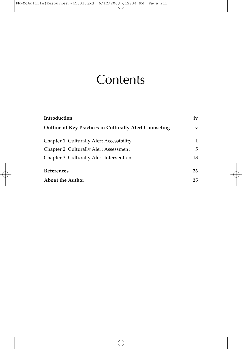# **Contents**

| Introduction                                                   | iv |
|----------------------------------------------------------------|----|
| <b>Outline of Key Practices in Culturally Alert Counseling</b> | V  |
| Chapter 1. Culturally Alert Accessibility                      | 1  |
| <b>Chapter 2. Culturally Alert Assessment</b>                  | 5. |
| Chapter 3. Culturally Alert Intervention                       | 13 |
| References                                                     | 23 |
| About the Author                                               | 25 |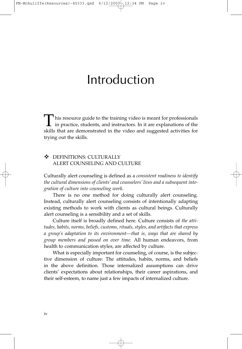### Introduction

<sup>1</sup> his resource guide to the training video is meant for professionals in practice, students, and instructors. In it are explanations of the skills that are demonstrated in the video and suggested activities for trying out the skills.

#### ❖ DEFINITIONS: CULTURALLY ALERT COUNSELING AND CULTURE

Culturally alert counseling is defined as a *consistent readiness to identify the cultural dimensions of clients' and counselors' lives and a subsequent integration of culture into counseling work*.

There is no one method for doing culturally alert counseling. Instead, culturally alert counseling consists of intentionally adapting existing methods to work with clients as cultural beings. Culturally alert counseling is a sensibility and a set of skills.

Culture itself is broadly defined here. Culture consists of *the attitudes, habits, norms, beliefs, customs, rituals, styles, and artifacts that express a group's adaptation to its environment—that is, ways that are shared by group members and passed on over time.* All human endeavors, from health to communication styles, are affected by culture.

What is especially important for counseling, of course, is the subjective dimension of culture: The attitudes, habits, norms, and beliefs in the above definition. Those internalized assumptions can drive clients' expectations about relationships, their career aspirations, and their self-esteem, to name just a few impacts of internalized culture.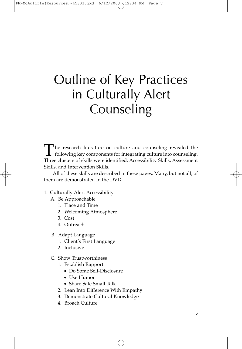## Outline of Key Practices in Culturally Alert Counseling

The research literature on culture and counseling revealed the  $\mathsf{L}\;$  following key components for integrating culture into counseling. Three clusters of skills were identified: Accessibility Skills, Assessment Skills, and Intervention Skills.

All of these skills are described in these pages. Many, but not all, of them are demonstrated in the DVD.

#### 1. Culturally Alert Accessibility

- A. Be Approachable
	- 1. Place and Time
	- 2. Welcoming Atmosphere
	- 3. Cost
	- 4. Outreach
- B. Adapt Language
	- 1. Client's First Language
	- 2. Inclusive
- C. Show Trustworthiness
	- 1. Establish Rapport
		- Do Some Self-Disclosure
		- Use Humor
		- Share Safe Small Talk
	- 2. Lean Into Difference With Empathy
	- 3. Demonstrate Cultural Knowledge
	- 4. Broach Culture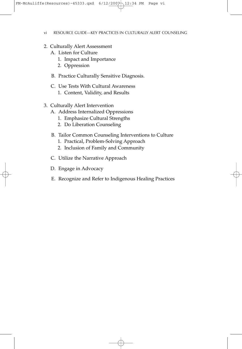- 2. Culturally Alert Assessment
	- A. Listen for Culture
		- 1. Impact and Importance
		- 2. Oppression
	- B. Practice Culturally Sensitive Diagnosis.
	- C. Use Tests With Cultural Awareness 1. Content, Validity, and Results
- 3. Culturally Alert Intervention
	- A. Address Internalized Oppressions
		- 1. Emphasize Cultural Strengths
		- 2. Do Liberation Counseling
	- B. Tailor Common Counseling Interventions to Culture
		- 1. Practical, Problem-Solving Approach
		- 2. Inclusion of Family and Community
	- C. Utilize the Narrative Approach
	- D. Engage in Advocacy
	- E. Recognize and Refer to Indigenous Healing Practices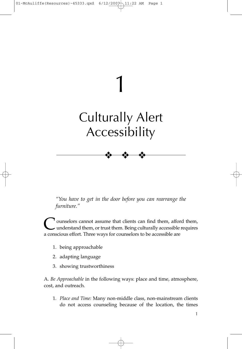### Culturally Alert Accessibility

❖ ❖ ❖

1

*"You have to get in the door before you can rearrange the furniture."*

ounselors cannot assume that clients can find them, afford them, understand them, or trust them. Being culturally accessible requires a conscious effort. Three ways for counselors to be accessible are

- 1. being approachable
- 2. adapting language
- 3. showing trustworthiness

A. *Be Approachable* in the following ways: place and time, atmosphere, cost, and outreach.

1. *Place and Time:* Many non-middle class, non-mainstream clients do not access counseling because of the location, the times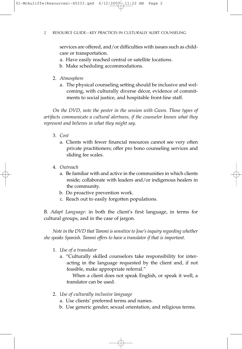services are offered, and/or difficulties with issues such as childcare or transportation.

- a. Have easily reached central or satellite locations.
- b. Make scheduling accommodations.
- 2. *Atmosphere*
	- a. The physical counseling setting should be inclusive and welcoming, with culturally diverse décor, evidence of commitments to social justice, and hospitable front-line staff.

*On the DVD, note the poster in the session with Gwen. Those types of artifacts communicate a cultural alertness, if the counselor knows what they represent and believes in what they might say*.

- 3. *Cost*
	- a. Clients with fewer financial resources cannot see very often private practitioners; offer pro bono counseling services and sliding fee scales.
- 4. *Outreach*
	- a. Be familiar with and active in the communities in which clients reside; collaborate with leaders and/or indigenous healers in the community.
	- b. Do proactive prevention work.
	- c. Reach out to easily forgotten populations.

B. *Adapt Language:* in both the client's first language, in terms for cultural groups, and in the case of jargon.

*Note in the DVD that Tammi is sensitive to Jose's inquiry regarding whether she speaks Spanish. Tammi offers to have a translator if that is important*.

- 1. *Use of a translator*
	- a. "Culturally skilled counselors take responsibility for interacting in the language requested by the client and, if not feasible, make appropriate referral."

When a client does not speak English, or speak it well, a translator can be used.

- 2. *Use of culturally inclusive language*
	- a. Use clients' preferred terms and names.
	- b. Use generic gender, sexual orientation, and religious terms.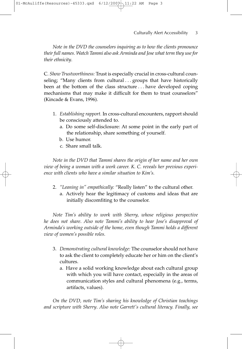Culturally Alert Accessibility 3

*Note in the DVD the counselors inquiring as to how the clients pronounce their full names. Watch Tammi also ask Arminda and Jose what term they use for their ethnicity*.

C. *Show Trustworthiness:* Trust is especially crucial in cross-cultural counseling; "Many clients from cultural . . . groups that have historically been at the bottom of the class structure . . . have developed coping mechanisms that may make it difficult for them to trust counselors" (Kincade & Evans, 1996).

- 1. *Establishing rapport.* In cross-cultural encounters, rapport should be consciously attended to.
	- a. Do some self-disclosure: At some point in the early part of the relationship, share something of yourself.
	- b. Use humor.
	- c. Share small talk.

*Note in the DVD that Tammi shares the origin of her name and her own view of being a woman with a work career. K. C. reveals her previous experience with clients who have a similar situation to Kim's.*

- 2. *"Leaning in" empathically:* "Really listen" to the cultural other.
	- a. Actively hear the legitimacy of customs and ideas that are initially discomfiting to the counselor.

*Note Tim's ability to work with Sherry, whose religious perspective he does not share*. *Also note Tammi's ability to hear Jose's disapproval of Arminda's working outside of the home, even though Tammi holds a different view of women's possible roles.* 

- 3. *Demonstrating cultural knowledge:* The counselor should not have to ask the client to completely educate her or him on the client's cultures.
	- a. Have a solid working knowledge about each cultural group with which you will have contact, especially in the areas of communication styles and cultural phenomena (e.g., terms, artifacts, values).

*On the DVD, note Tim's sharing his knowledge of Christian teachings and scripture with Sherry*. *Also note Garrett's cultural literacy. Finally, see*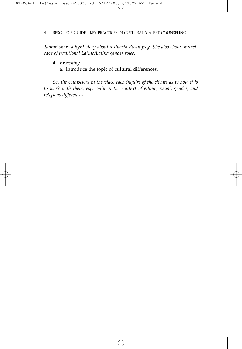*Tammi share a light story about a Puerto Rican frog. She also shows knowledge of traditional Latino/Latina gender roles.*

- 4. *Broaching* 
	- a. Introduce the topic of cultural differences.

*See the counselors in the video each inquire of the clients as to how it is to work with them, especially in the context of ethnic, racial, gender, and religious differences*.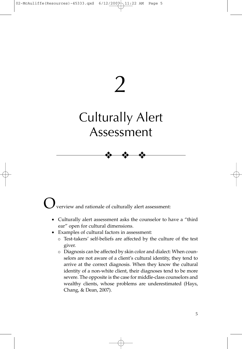# $\sum$

# Culturally Alert Assessment

❖ ❖ ❖

verview and rationale of culturally alert assessment:

- Culturally alert assessment asks the counselor to have a "third ear" open for cultural dimensions.
- Examples of cultural factors in assessment:
	- Test-takers' self-beliefs are affected by the culture of the test giver.
	- Diagnosis can be affected by skin color and dialect: When counselors are not aware of a client's cultural identity, they tend to arrive at the correct diagnosis. When they know the cultural identity of a non-white client, their diagnoses tend to be more severe. The opposite is the case for middle-class counselors and wealthy clients, whose problems are underestimated (Hays, Chang, & Dean, 2007).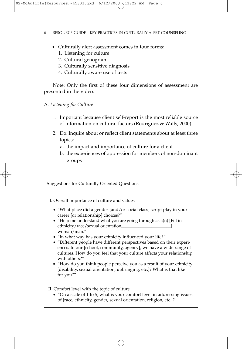

- 6 RESOURCE GUIDE—KEY PRACTICES IN CULTURALLY ALERT COUNSELING
	- Culturally alert assessment comes in four forms:
		- 1. Listening for culture
		- 2. Cultural genogram
		- 3. Culturally sensitive diagnosis
		- 4. Culturally aware use of tests

Note: Only the first of these four dimensions of assessment are presented in the video.

A. *Listening for Culture*

- 1. Important because client self-report is the most reliable source of information on cultural factors (Rodriguez & Walls, 2000).
- 2. Do: Inquire about or reflect client statements about at least three topics:
	- a. the impact and importance of culture for a client
	- b. the experiences of oppression for members of non-dominant groups

Suggestions for Culturally Oriented Questions

- I. Overall importance of culture and values
	- "What place did a gender [and/or social class] script play in your career [or relationship] choices?"
	- "Help me understand what you are going through as a(n) [Fill in ethnicity/race/sexual orientation\_ woman/man."
	- "In what way has your ethnicity influenced your life?"
	- "Different people have different perspectives based on their experiences. In our [school, community, agency], we have a wide range of cultures. How do you feel that your culture affects your relationship with others?"
	- "How do you think people perceive you as a result of your ethnicity [disability, sexual orientation, upbringing, etc.]? What is that like for you?"

II. Comfort level with the topic of culture

• "On a scale of 1 to 5, what is your comfort level in addressing issues of [race, ethnicity, gender, sexual orientation, religion, etc.]?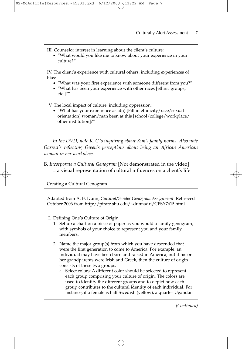#### Culturally Alert Assessment 7

- III. Counselor interest in learning about the client's culture:
	- "What would you like me to know about your experience in your culture?"

IV. The client's experience with cultural others, including experiences of bias:

- "What was your first experience with someone different from you?"
- "What has been your experience with other races [ethnic groups, etc.]?"

V. The local impact of culture, including oppression:

• "What has your experience as a(n) [Fill in ethnicity/race/sexual orientation] woman/man been at this [school/college/workplace/ other institution]?"

*In the DVD, note K. C.'s inquiring about Kim's family norms. Also note Garrett's reflecting Gwen's perceptions about being an African American woman in her workplace.*

B. *Incorporate a Cultural Genogram* [Not demonstrated in the video] = a visual representation of cultural influences on a client's life

Creating a Cultural Genogram

Adapted from A. B. Dunn, *Cultural/Gender Genogram Assignment.* Retrieved October 2006 from http://pirate.shu.edu/~dunnadri/CPSY7615.html

- I. Defining One's Culture of Origin
	- 1. Set up a chart on a piece of paper as you would a family genogram, with symbols of your choice to represent you and your family members.
	- 2. Name the major group(s) from which you have descended that were the first generation to come to America. For example, an individual may have been born and raised in America, but if his or her grandparents were Irish and Greek, then the culture of origin consists of these two groups.
		- a. Select colors: A different color should be selected to represent each group comprising your culture of origin. The colors are used to identify the different groups and to depict how each group contributes to the cultural identity of each individual. For instance, if a female is half Swedish (yellow), a quarter Ugandan

*(Continued)*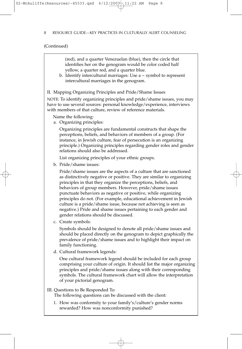#### (Continued)

(red), and a quarter Venezuelan (blue), then the circle that identifies her on the genogram would be color coded half yellow, a quarter red, and a quarter blue.

b. Identify intercultural marriages: Use  $a \sim$  symbol to represent intercultural marriages in the genogram.

#### II. Mapping Organizing Principles and Pride/Shame Issues

NOTE: To identify organizing principles and pride/shame issues, you may have to use several sources: personal knowledge/experience, interviews with members of that culture, review of reference materials.

- Name the following:
- a. Organizing principles:

Organizing principles are fundamental constructs that shape the perceptions, beliefs, and behaviors of members of a group. (For instance, in Jewish culture, fear of persecution is an organizing principle.) Organizing principles regarding gender roles and gender relations should also be addressed.

List organizing principles of your ethnic groups.

b. Pride/shame issues:

Pride/shame issues are the aspects of a culture that are sanctioned as distinctively negative or positive. They are similar to organizing principles in that they organize the perceptions, beliefs, and behaviors of group members. However, pride/shame issues punctuate behaviors as negative or positive, while organizing principles do not. (For example, educational achievement in Jewish culture is a pride/shame issue, because not achieving is seen as negative.) Pride and shame issues pertaining to each gender and gender relations should be discussed.

c. Create symbols:

Symbols should be designed to denote all pride/shame issues and should be placed directly on the genogram to depict graphically the prevalence of pride/shame issues and to highlight their impact on family functioning.

d. Cultural framework legends:

One cultural framework legend should be included for each group comprising your culture of origin. It should list the major organizing principles and pride/shame issues along with their corresponding symbols. The cultural framework chart will allow the interpretation of your pictorial genogram.

#### III. Questions to Be Responded To:

The following questions can be discussed with the client:

1. How was conformity to your family's/culture's gender norms rewarded? How was nonconformity punished?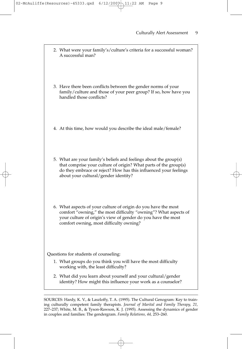#### Culturally Alert Assessment 9

- 2. What were your family's/culture's criteria for a successful woman? A successful man?
- 3. Have there been conflicts between the gender norms of your family/culture and those of your peer group? If so, how have you handled those conflicts?
- 4. At this time, how would you describe the ideal male/female?
- 5. What are your family's beliefs and feelings about the group(s) that comprise your culture of origin? What parts of the group(s) do they embrace or reject? How has this influenced your feelings about your cultural/gender identity?
- 6. What aspects of your culture of origin do you have the most comfort "owning," the most difficulty "owning"? What aspects of your culture of origin's view of gender do you have the most comfort owning, most difficulty owning?

Questions for students of counseling:

- 1. What groups do you think you will have the most difficulty working with, the least difficulty?
- 2. What did you learn about yourself and your cultural/gender identity? How might this influence your work as a counselor?

SOURCES: Hardy, K. V., & Laszloffy, T. A. (1995). The Cultural Genogram: Key to training culturally competent family therapists. *Journal of Marital and Family Therapy, 21,* 227–237; White, M. B., & Tyson-Rawson, K. J. (1995). Assessing the dynamics of gender in couples and families: The gendergram. *Family Relations, 44,* 253–260.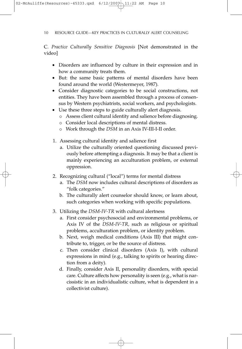C. *Practice Culturally Sensitive Diagnosis* [Not demonstrated in the video]

- Disorders are influenced by culture in their expression and in how a community treats them.
- But: the same basic patterns of mental disorders have been found around the world (Westermeyer, 1987).
- Consider diagnostic categories to be social constructions, not entities. They have been assembled through a process of consensus by Western psychiatrists, social workers, and psychologists.
- Use these three steps to guide culturally alert diagnosis.
	- Assess client cultural identity and salience before diagnosing.
	- Consider local descriptions of mental distress.
	- Work through the *DSM* in an Axis IV-III-I-II order.
- 1. Assessing cultural identity and salience first
	- a. Utilize the culturally oriented questioning discussed previously before attempting a diagnosis. It may be that a client is mainly experiencing an acculturation problem, or external oppression.
- 2. Recognizing cultural ("local") terms for mental distress
	- a. The *DSM* now includes cultural descriptions of disorders as "folk categories."
	- b. The culturally alert counselor should know, or learn about, such categories when working with specific populations.
- 3. Utilizing the *DSM-IV-TR* with cultural alertness
	- a. First consider psychosocial and environmental problems, or Axis IV of the *DSM-IV-TR,* such as religious or spiritual problems, acculturation problem, or identity problem.
	- b. Next, weigh medical conditions (Axis III) that might contribute to, trigger, or be the source of distress.
	- c. Then consider clinical disorders (Axis I), with cultural expressions in mind (e.g., talking to spirits or hearing direction from a deity).
	- d. Finally, consider Axis II, personality disorders, with special care. Culture affects how personality is seen (e.g., what is narcissistic in an individualistic culture, what is dependent in a collectivist culture).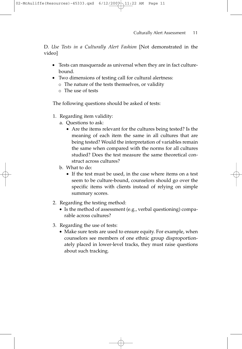Culturally Alert Assessment 11

D. *Use Tests in a Culturally Alert Fashion* [Not demonstrated in the video]

- Tests can masquerade as universal when they are in fact culturebound.
- Two dimensions of testing call for cultural alertness:
	- The nature of the tests themselves, or validity
	- The use of tests

The following questions should be asked of tests:

- 1. Regarding item validity:
	- a. Questions to ask:
		- Are the items relevant for the cultures being tested? Is the meaning of each item the same in all cultures that are being tested? Would the interpretation of variables remain the same when compared with the norms for all cultures studied? Does the test measure the same theoretical construct across cultures?
	- b. What to do:
		- If the test must be used, in the case where items on a test seem to be culture-bound, counselors should go over the specific items with clients instead of relying on simple summary scores.
- 2. Regarding the testing method:
	- Is the method of assessment (e.g., verbal questioning) comparable across cultures?
- 3. Regarding the use of tests:
	- Make sure tests are used to ensure equity. For example, when counselors see members of one ethnic group disproportionately placed in lower-level tracks, they must raise questions about such tracking.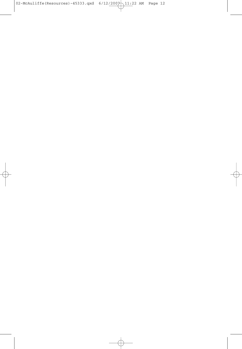02-McAuliffe(Resources)-45333.qxd  $6/12/2007$  11:22 AM Page 12

 $\phi$ 

 $\overline{\mathbb{Q}}$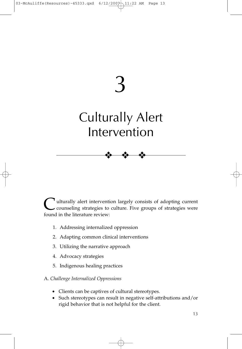# 3

# Culturally Alert Intervention

❖ ❖ ❖

ulturally alert intervention largely consists of adopting current counseling strategies to culture. Five groups of strategies were found in the literature review:

- 1. Addressing internalized oppression
- 2. Adapting common clinical interventions
- 3. Utilizing the narrative approach
- 4. Advocacy strategies
- 5. Indigenous healing practices
- A. *Challenge Internalized Oppressions*
	- Clients can be captives of cultural stereotypes.
	- Such stereotypes can result in negative self-attributions and/or rigid behavior that is not helpful for the client.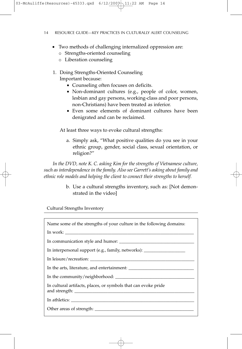- Two methods of challenging internalized oppression are:
	- o Strengths-oriented counseling
	- Liberation counseling
- 1. Doing Strengths-Oriented Counseling Important because:
	- Counseling often focuses on deficits.
	- Non-dominant cultures (e.g., people of color, women, lesbian and gay persons, working-class and poor persons, non-Christians) have been treated as inferior.
	- Even some elements of dominant cultures have been denigrated and can be reclaimed.

At least three ways to evoke cultural strengths:

a. Simply ask, "What positive qualities do you see in your ethnic group, gender, social class, sexual orientation, or religion?"

*In the DVD, note K. C. asking Kim for the strengths of Vietnamese culture, such as interdependence in the family. Also see Garrett's asking about family and ethnic role models and helping the client to connect their strengths to herself.*

> b. Use a cultural strengths inventory, such as: [Not demonstrated in the video]

Cultural Strengths Inventory

| Name some of the strengths of your culture in the following domains:             |
|----------------------------------------------------------------------------------|
|                                                                                  |
|                                                                                  |
| In interpersonal support (e.g., family, networks): _____________________________ |
|                                                                                  |
|                                                                                  |
|                                                                                  |
| In cultural artifacts, places, or symbols that can evoke pride                   |
|                                                                                  |
|                                                                                  |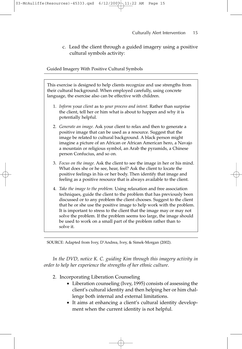c. Lead the client through a guided imagery using a positive cultural symbols activity:

Guided Imagery With Positive Cultural Symbols

This exercise is designed to help clients recognize and use strengths from their cultural background. When employed carefully, using concrete language, the exercise also can be effective with children.

- 1. *Inform* your *client* as to *your process and intent.* Rather than surprise the client, tell her or him what is about to happen and why it is potentially helpful.
- 2. *Generate an image.* Ask your client to relax and then to generate a positive image that can be used as a resource. Suggest that the image be related to cultural background. A black person might imagine a picture of an African or African American hero, a Navajo a mountain or religious symbol, an Arab the pyramids, a Chinese person Confucius, and so on.
- 3. *Focus on the image.* Ask the client to see the image in her or his mind. What does she or he see, hear, feel? Ask the client to locate the positive feelings in his or her body. Then identify that image and feeling as a positive resource that is always available to the client.
- 4. *Take the image to the problem.* Using relaxation and free association techniques, guide the client to the problem that has previously been discussed or to any problem the client chooses. Suggest to the client that he or she use the positive image to help work with the problem. It is important to stress to the client that the image may or may not solve the problem. If the problem seems too large, the image should be used to work on a small part of the problem rather than to solve it.

SOURCE: Adapted from Ivey, D'Andrea, Ivey, & Simek-Morgan (2002).

*In the DVD, notice K. C. guiding Kim through this imagery activity in order to help her experience the strengths of her ethnic culture*.

- 2. Incorporating Liberation Counseling
	- Liberation counseling (Ivey, 1995) consists of assessing the client's cultural identity and then helping her or him challenge both internal and external limitations.
	- It aims at enhancing a client's cultural identity development when the current identity is not helpful.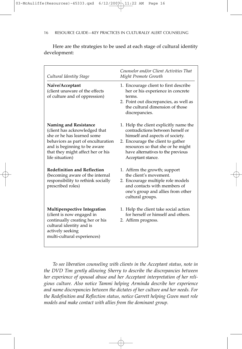Here are the strategies to be used at each stage of cultural identity development:

| Cultural Identity Stage                                                                                                                                                                                                   | Counselor and/or Client Activities That<br>Might Promote Growth                                                                                                                                                                                    |
|---------------------------------------------------------------------------------------------------------------------------------------------------------------------------------------------------------------------------|----------------------------------------------------------------------------------------------------------------------------------------------------------------------------------------------------------------------------------------------------|
| Naïve/Acceptant<br>(client unaware of the effects<br>of culture and of oppression)                                                                                                                                        | 1. Encourage client to first describe<br>her or his experience in concrete<br>terms.<br>2. Point out discrepancies, as well as<br>the cultural dimension of those<br>discrepancies.                                                                |
| <b>Naming and Resistance</b><br>(client has acknowledged that<br>she or he has learned some<br>behaviors as part of enculturation<br>and is beginning to be aware<br>that they might affect her or his<br>life situation) | 1. Help the client explicitly name the<br>contradictions between herself or<br>himself and aspects of society.<br>2. Encourage the client to gather<br>resources so that she or he might<br>have alternatives to the previous<br>Acceptant stance. |
| <b>Redefinition and Reflection</b><br>(becoming aware of the internal<br>responsibility to rethink socially<br>prescribed roles)                                                                                          | 1. Affirm the growth; support<br>the client's movement.<br>2. Encourage multiple role models<br>and contacts with members of<br>one's group and allies from other<br>cultural groups.                                                              |
| Multiperspective Integration<br>(client is now engaged in<br>continually creating her or his<br>cultural identity and is<br>actively seeking<br>multi-cultural experiences)                                               | 1. Help the client take social action<br>for herself or himself and others.<br>2. Affirm progress.                                                                                                                                                 |
|                                                                                                                                                                                                                           |                                                                                                                                                                                                                                                    |

*To see liberation counseling with clients in the Acceptant status, note in the DVD Tim gently allowing Sherry to describe the discrepancies between her experience of spousal abuse and her Acceptant interpretation of her religious culture. Also notice Tammi helping Arminda describe her experience and name discrepancies between the dictates of her culture and her needs. For the Redefinition and Reflection status, notice Garrett helping Gwen meet role models and make contact with allies from the dominant group.*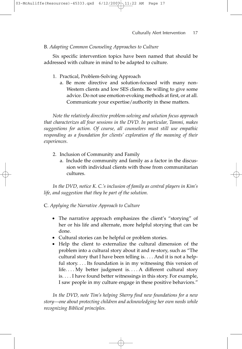Culturally Alert Intervention 17

#### B. *Adapting Common Counseling Approaches to Culture*

Six specific intervention topics have been named that should be addressed with culture in mind to be adapted to culture.

- 1. Practical, Problem-Solving Approach
	- a. Be more directive and solution-focused with many non-Western clients and low SES clients. Be willing to give some advice. Do not use emotion-evoking methods at first, or at all. Communicate your expertise/authority in these matters.

*Note the relatively directive problem-solving and solution focus approach that characterizes all four sessions in the DVD. In particular, Tammi, makes suggestions for action. Of course, all counselors must still use empathic responding as a foundation for clients' exploration of the meaning of their experiences*.

- 2. Inclusion of Community and Family
	- a. Include the community and family as a factor in the discussion with individual clients with those from communitarian cultures.

*In the DVD, notice K. C.'s inclusion of family as central players in Kim's life, and suggestion that they be part of the solution.* 

#### C. *Applying the Narrative Approach to Culture*

- The narrative approach emphasizes the client's "storying" of her or his life and alternate, more helpful storying that can be done.
- Cultural stories can be helpful or problem stories.
- Help the client to externalize the cultural dimension of the problem into a cultural story about it and re-story, such as "The cultural story that I have been telling is.... And it is not a helpful story.... Its foundation is in my witnessing this version of life. . . . My better judgment is. . . . A different cultural story is. . . . I have found better witnessings in this story. For example, I saw people in my culture engage in these positive behaviors."

*In the DVD, note Tim's helping Sherry find new foundations for a new story—one about protecting children and acknowledging her own needs while recognizing Biblical principles.*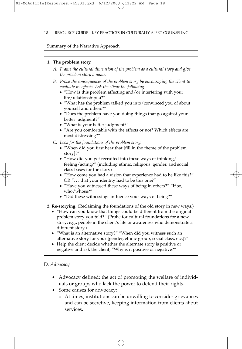#### Summary of the Narrative Approach

#### **1. The problem story.**

- *A. Frame the cultural dimension of the problem as a cultural story and give the problem story a name.*
- *B. Probe the consequences of the problem story by encouraging the client to evaluate its effects. Ask the client the following:*
	- "How is this problem affecting and/or interfering with your life/relationship(s)?"
	- "What has the problem talked you into/convinced you of about yourself and others?"
	- "Does the problem have you doing things that go against your better judgment?"
	- "What is your better judgment?"
	- "Are you comfortable with the effects or not? Which effects are most distressing?"
- *C. Look for the foundations of the problem story.*
	- "When did you first hear that [fill in the theme of the problem story]?"
	- "How did you get recruited into these ways of thinking/ feeling/acting?" (including ethnic, religious, gender, and social class bases for the story)
	- "How come you had a vision that experience had to be like this?" OR ". . . that your identity had to be this one?"
	- "Have you witnessed these ways of being in others?" "If so, who/whose?"
	- "Did these witnessings influence your ways of being?"
- **2. Re-storying.** (Reclaiming the foundations of the old story in new ways.)
	- "How can you know that things could be different from the original problem story you told?" (Probe for cultural foundations for a new story; e.g., people in the client's life or awareness who demonstrate a different story.)
	- "What is an alternative story?" "When did you witness such an alternative story for your [gender, ethnic group, social class, etc.]?"
	- Help the client decide whether the alternate story is positive or negative and ask the client, "Why is it positive or negative?"

#### D. *Advocacy*

- Advocacy defined: the act of promoting the welfare of individuals or groups who lack the power to defend their rights.
- Some causes for advocacy:
	- At times, institutions can be unwilling to consider grievances and can be secretive, keeping information from clients about services.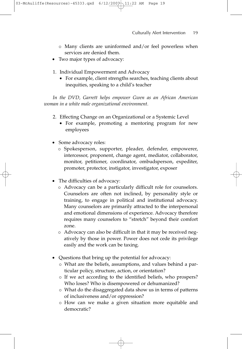- Many clients are uninformed and/or feel powerless when services are denied them.
- Two major types of advocacy:
- 1. Individual Empowerment and Advocacy
	- For example, client strengths searches, teaching clients about inequities, speaking to a child's teacher

*In the DVD, Garrett helps empower Gwen as an African American woman in a white male organizational environment.* 

- 2. Effecting Change on an Organizational or a Systemic Level
	- For example, promoting a mentoring program for new employees
- Some advocacy roles:
	- Spokesperson, supporter, pleader, defender, empowerer, intercessor, proponent, change agent, mediator, collaborator, monitor, petitioner, coordinator, ombudsperson, expediter, promoter, protector, instigator, investigator, exposer
- The difficulties of advocacy:
	- Advocacy can be a particularly difficult role for counselors. Counselors are often not inclined, by personality style or training, to engage in political and institutional advocacy. Many counselors are primarily attracted to the interpersonal and emotional dimensions of experience. Advocacy therefore requires many counselors to "stretch" beyond their comfort zone.
	- Advocacy can also be difficult in that it may be received negatively by those in power. Power does not cede its privilege easily and the work can be taxing.
- Questions that bring up the potential for advocacy:
	- What are the beliefs, assumptions, and values behind a particular policy, structure, action, or orientation?
	- o If we act according to the identified beliefs, who prospers? Who loses? Who is disempowered or dehumanized?
	- What do the disaggregated data show us in terms of patterns of inclusiveness and/or oppression?
	- How can we make a given situation more equitable and democratic?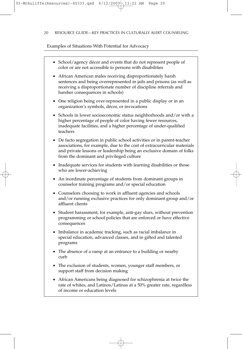Examples of Situations With Potential for Advocacy

- School/agency décor and events that do not represent people of color or are not accessible to persons with disabilities
- African American males receiving disproportionately harsh sentences and being overrepresented in jails and prisons (as well as receiving a disproportionate number of discipline referrals and harsher consequences in schools)
- Οne religion being over-represented in a public display or in an organization's symbols, décor, or invocations
- Schools in lower socioeconomic status neighborhoods and/or with a higher percentage of people of color having fewer resources, inadequate facilities, and a higher percentage of under-qualified teachers
- De facto segregation in public school activities or in parent-teacher associations, for example, due to the cost of extracurricular materials and private lessons or leadership being an exclusive domain of folks from the dominant and privileged culture
- Inadequate services for students with learning disabilities or those who are lower-achieving
- An inordinate percentage of students from dominant groups in counselor training programs and/or special education
- Counselors choosing to work in affluent agencies and schools and/or running exclusive practices for only dominant group and/or affluent clients
- Student harassment, for example, anti-gay slurs, without prevention programming or school policies that are enforced or have effective consequences
- Imbalance in academic tracking, such as racial imbalance in special education, advanced classes, and in gifted and talented programs
- The absence of a ramp at an entrance to a building or nearby curb
- Τhe exclusion of students, women, younger staff members, or support staff from decision making
- African Americans being diagnosed for schizophrenia at twice the rate of whites, and Latinos/Latinas at a 50% greater rate, regardless of income or education levels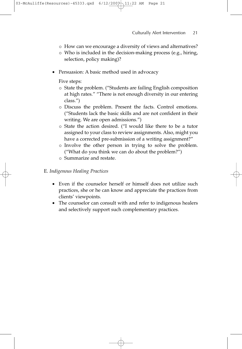Culturally Alert Intervention 21

- How can we encourage a diversity of views and alternatives?
- Who is included in the decision-making process (e.g., hiring, selection, policy making)?
- Persuasion: A basic method used in advocacy

Five steps:

- State the problem. ("Students are failing English composition at high rates." "There is not enough diversity in our entering class.")
- Discuss the problem. Present the facts. Control emotions. ("Students lack the basic skills and are not confident in their writing. We are open admissions.")
- State the action desired. ("I would like there to be a tutor assigned to your class to review assignments. Also, might you have a corrected pre-submission of a writing assignment?"
- Involve the other person in trying to solve the problem. ("What do you think we can do about the problem?")
- Summarize and restate.
- E. *Indigenous Healing Practices*
	- Even if the counselor herself or himself does not utilize such practices, she or he can know and appreciate the practices from clients' viewpoints.
	- The counselor can consult with and refer to indigenous healers and selectively support such complementary practices.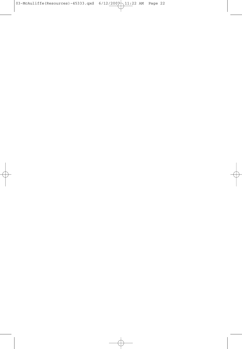03-McAuliffe(Resources)-45333.qxd  $6/12/2007$  11:22 AM Page 22

 $\phi$ 

 $\overline{\mathbb{Q}}$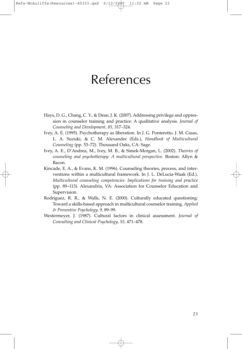Refs-McAuliffe(Resources)-45333.qxd  $6/12/200$  $\sqrt{7}$  11:22 AM Page 23

### References

- Hays, D. G., Chang, C. Y., & Dean, J. K. (2007). Addressing privilege and oppression in counselor training and practice: A qualitative analysis. *Journal of Counseling and Development, 85,* 317–324.
- Ivey, A. E. (1995). Psychotherapy as liberation. In J. G. Ponterotto, J. M. Casas, L. A. Suzuki, & C. M. Alexander (Eds.), *Handbook of Multicultural Counseling* (pp. 53–72). Thousand Oaks, CA: Sage.
- Ivey, A. E., D'Andrea, M., Ivey, M. B., & Simek-Morgan, L. (2002). *Theories of counseling and psychotherapy: A multicultural perspective.* Boston: Allyn & Bacon.
- Kincade, E. A., & Evans, K. M. (1996). Counseling theories, process, and interventions within a multicultural framework. In J. L. DeLucia-Waak (Ed.), *Multicultural counseling competencies: Implications for training and practice* (pp. 89–113). Alexandria, VA: Association for Counselor Education and Supervision.
- Rodriguez, R. R., & Walls, N. E. (2000). Culturally educated questioning: Toward a skills-based approach in multicultural counselor training. *Applied & Preventive Psychology, 9,* 89–99.
- Westermeyer, J. (1987). Cultural factors in clinical assessment. *Journal of Consulting and Clinical Psychology, 55,* 471–478.

23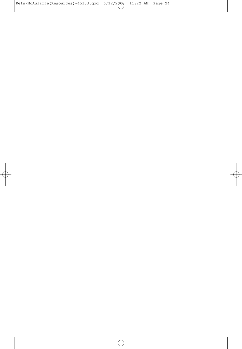$\overline{\mathbb{Q}}$ 

 $\phi$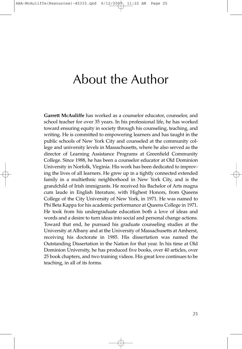### About the Author

**Garrett McAuliffe** has worked as a counselor educator, counselor, and school teacher for over 35 years. In his professional life, he has worked toward ensuring equity in society through his counseling, teaching, and writing. He is committed to empowering learners and has taught in the public schools of New York City and counseled at the community college and university levels in Massachusetts, where he also served as the director of Learning Assistance Programs at Greenfield Community College. Since 1988, he has been a counselor educator at Old Dominion University in Norfolk, Virginia. His work has been dedicated to improving the lives of all learners. He grew up in a tightly connected extended family in a multiethnic neighborhood in New York City, and is the grandchild of Irish immigrants. He received his Bachelor of Arts magna cum laude in English literature, with Highest Honors, from Queens College of the City University of New York, in 1971. He was named to Phi Beta Kappa for his academic performance at Queens College in 1971. He took from his undergraduate education both a love of ideas and words and a desire to turn ideas into social and personal change actions. Toward that end, he pursued his graduate counseling studies at the University at Albany and at the University of Massachusetts at Amherst, receiving his doctorate in 1985. His dissertation was named the Outstanding Dissertation in the Nation for that year. In his time at Old Dominion University, he has produced five books, over 40 articles, over 25 book chapters, and two training videos. His great love continues to be teaching, in all of its forms.